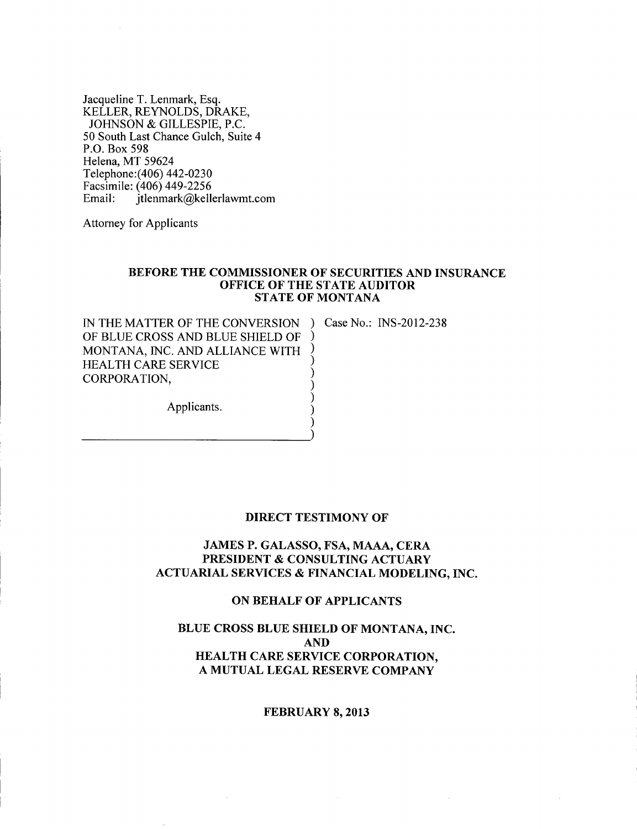Jacqueline T. Lenmark, Esq. KELLER, REYNOLDS, DRAKE, JOHNSON & GILLESPIE, P.C. 50 South Last Chance Gulch, Suite 4 P.O. Box 598 Helena, MT 59624 Telephone:( 406) 442-0230 Facsimile: (406) 449-2256 Email: jtlenmark@kellerlawmt.com

Attorney for Applicants

-----------)

#### BEFORE THE COMMISSIONER OF SECURITIES AND INSURANCE OFFICE OF THE STATE AUDITOR STATE OF MONTANA

) ) ) ) ) ) ) )

IN THE MATTER OF THE CONVERSION ) Case No.: INS-2012-238 OF BLUE CROSS AND BLUE SHIELD OF MONTANA, INC. AND ALLIANCE WITH HEALTH CARE SERVICE CORPORATION,

Applicants.

#### DIRECT TESTIMONY OF

# JAMES P. GALASSO, FSA, MAAA, CERA PRESIDENT & CONSULTING ACTUARY ACTUARIAL SERVICES & FINANCIAL MODELING, INC.

## ON BEHALF OF APPLICANTS

# BLUE CROSS BLUE SHIELD OF MONTANA, INC. AND HEALTH CARE SERVICE CORPORATION, A MUTUAL LEGAL RESERVE COMPANY

#### FEBRUARY 8, 2013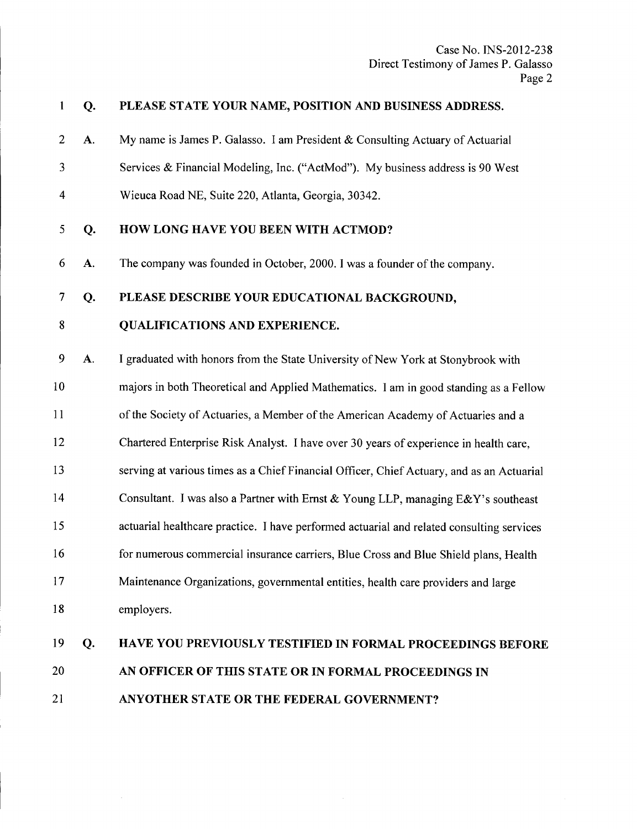| 1                       | Q. | PLEASE STATE YOUR NAME, POSITION AND BUSINESS ADDRESS.                                    |
|-------------------------|----|-------------------------------------------------------------------------------------------|
| $\overline{2}$          | A. | My name is James P. Galasso. I am President & Consulting Actuary of Actuarial             |
| 3                       |    | Services & Financial Modeling, Inc. ("ActMod"). My business address is 90 West            |
| $\overline{\mathbf{4}}$ |    | Wieuca Road NE, Suite 220, Atlanta, Georgia, 30342.                                       |
| 5                       | Q. | HOW LONG HAVE YOU BEEN WITH ACTMOD?                                                       |
| 6                       | A. | The company was founded in October, 2000. I was a founder of the company.                 |
| 7                       | Q. | PLEASE DESCRIBE YOUR EDUCATIONAL BACKGROUND,                                              |
| $\bf 8$                 |    | <b>QUALIFICATIONS AND EXPERIENCE.</b>                                                     |
| 9                       | A. | I graduated with honors from the State University of New York at Stonybrook with          |
| 10                      |    | majors in both Theoretical and Applied Mathematics. I am in good standing as a Fellow     |
| 11                      |    | of the Society of Actuaries, a Member of the American Academy of Actuaries and a          |
| 12                      |    | Chartered Enterprise Risk Analyst. I have over 30 years of experience in health care,     |
| 13                      |    | serving at various times as a Chief Financial Officer, Chief Actuary, and as an Actuarial |
| 14                      |    | Consultant. I was also a Partner with Ernst & Young LLP, managing $E\&Y$ 's southeast     |
| 15                      |    | actuarial healthcare practice. I have performed actuarial and related consulting services |
| 16                      |    | for numerous commercial insurance carriers, Blue Cross and Blue Shield plans, Health      |
| 17                      |    | Maintenance Organizations, governmental entities, health care providers and large         |
| 18                      |    | employers.                                                                                |
| 19                      | Q. | HAVE YOU PREVIOUSLY TESTIFIED IN FORMAL PROCEEDINGS BEFORE                                |
| 20                      |    | AN OFFICER OF THIS STATE OR IN FORMAL PROCEEDINGS IN                                      |
| 21                      |    | ANYOTHER STATE OR THE FEDERAL GOVERNMENT?                                                 |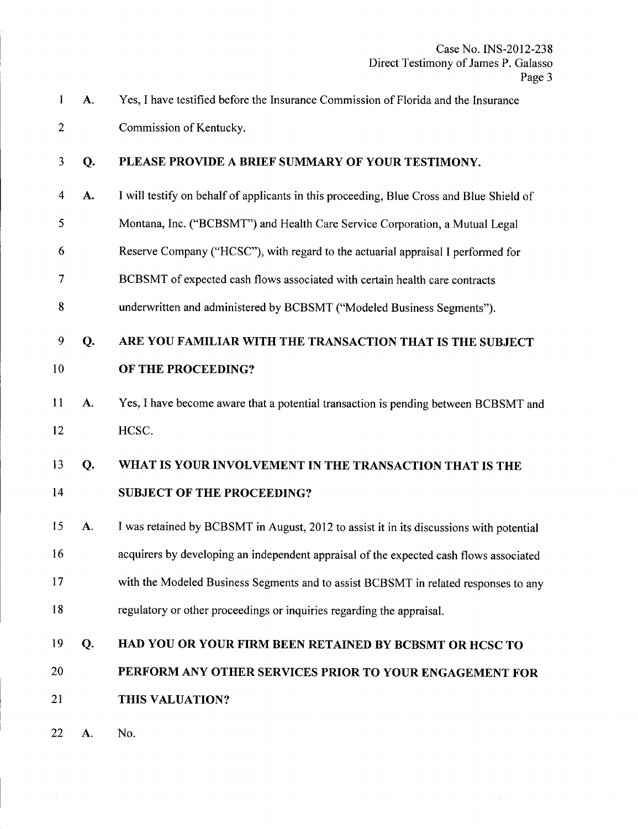- 1 A. 2 Yes, I have testified before the Insurance Commission of Florida and the Insurance Commission of Kentucky.
- 3 Q. PLEASE PROVIDE A BRIEF SUMMARY OF YOUR TESTIMONY.
- 4 A. I will testify on behalf of applicants in this proceeding, Blue Cross and Blue Shield of
- 5 Montana, Inc. ("BCBSMT") and Health Care Service Corporation, a Mutual Legal
- 6 Reserve Company ("HCSC"), with regard to the actuarial appraisal I performed for
- 7 BCBSMT of expected cash flows associated with certain health care contracts
- 8 underwritten and administered by BCBSMT ("Modeled Business Segments").
- 9 Q. 10 ARE YOU FAMILIAR WITH THE TRANSACTION THAT IS THE SUBJECT OF THE PROCEEDING?
- 11 A. 12 Yes, I have become aware that a potential transaction is pending between BCBSMT and HCSC.
- 13 Q. 14 WHAT IS YOUR INVOLVEMENT IN THE TRANSACTION THAT IS THE SUBJECT OF THE PROCEEDING?
- 15 A. 16 17 18 I was retained by BCBSMT in August, 2012 to assist it in its discussions with potential acquirers by developing an independent appraisal of the expected cash flows associated with the Modeled Business Segments and to assist BCBSMT in related responses to any regulatory or other proceedings or inquiries regarding the appraisal.
- 19 Q. HAD YOU OR YOUR FIRM BEEN RETAINED BY BCBSMT OR HCSC TO
- 20 PERFORM ANY OTHER SERVICES PRIOR TO YOUR ENGAGEMENT FOR
- 21 THIS VALUATION?
- 22 A. No.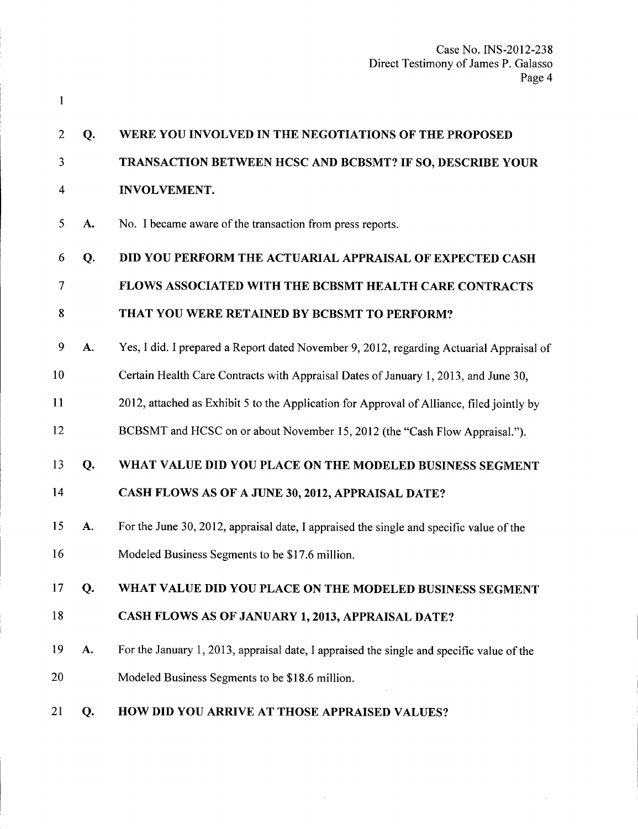| 2  | Q.        | WERE YOU INVOLVED IN THE NEGOTIATIONS OF THE PROPOSED                                     |
|----|-----------|-------------------------------------------------------------------------------------------|
| 3  |           | TRANSACTION BETWEEN HCSC AND BCBSMT? IF SO, DESCRIBE YOUR                                 |
| 4  |           | <b>INVOLVEMENT.</b>                                                                       |
| 5  | A.        | No. I became aware of the transaction from press reports.                                 |
| 6  | Q.        | DID YOU PERFORM THE ACTUARIAL APPRAISAL OF EXPECTED CASH                                  |
| 7  |           | <b>FLOWS ASSOCIATED WITH THE BCBSMT HEALTH CARE CONTRACTS</b>                             |
| 8  |           | THAT YOU WERE RETAINED BY BCBSMT TO PERFORM?                                              |
| 9  | A.        | Yes, I did. I prepared a Report dated November 9, 2012, regarding Actuarial Appraisal of  |
| 10 |           | Certain Health Care Contracts with Appraisal Dates of January 1, 2013, and June 30,       |
| 11 |           | 2012, attached as Exhibit 5 to the Application for Approval of Alliance, filed jointly by |
| 12 |           | BCBSMT and HCSC on or about November 15, 2012 (the "Cash Flow Appraisal.").               |
| 13 | Q.        | WHAT VALUE DID YOU PLACE ON THE MODELED BUSINESS SEGMENT                                  |
| 14 |           | CASH FLOWS AS OF A JUNE 30, 2012, APPRAISAL DATE?                                         |
| 15 | <b>A.</b> | For the June 30, 2012, appraisal date, I appraised the single and specific value of the   |
| 16 |           | Modeled Business Segments to be \$17.6 million.                                           |
| 17 | Q.        | WHAT VALUE DID YOU PLACE ON THE MODELED BUSINESS SEGMENT                                  |
| 18 |           | CASH FLOWS AS OF JANUARY 1, 2013, APPRAISAL DATE?                                         |
| 19 | A.        | For the January 1, 2013, appraisal date, I appraised the single and specific value of the |
| 20 |           | Modeled Business Segments to be \$18.6 million.                                           |
| 21 | Q.        | HOW DID YOU ARRIVE AT THOSE APPRAISED VALUES?                                             |

 $\mathcal{A}^{\prime}$ 

 $\bar{z}$ 

1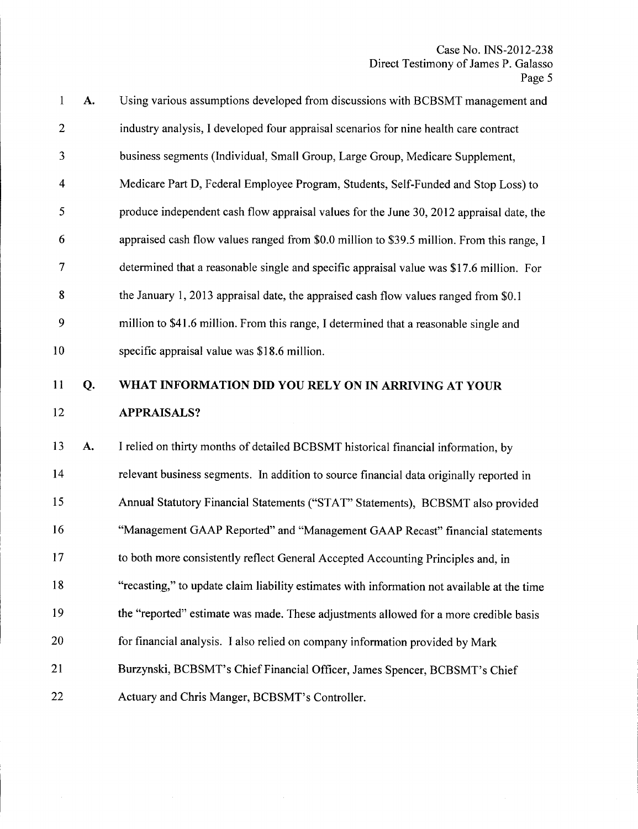| $\mathbf{1}$   | A. | Using various assumptions developed from discussions with BCBSMT management and            |
|----------------|----|--------------------------------------------------------------------------------------------|
| $\overline{2}$ |    | industry analysis, I developed four appraisal scenarios for nine health care contract      |
| 3              |    | business segments (Individual, Small Group, Large Group, Medicare Supplement,              |
| $\overline{4}$ |    | Medicare Part D, Federal Employee Program, Students, Self-Funded and Stop Loss) to         |
| 5              |    | produce independent cash flow appraisal values for the June 30, 2012 appraisal date, the   |
| 6              |    | appraised cash flow values ranged from \$0.0 million to \$39.5 million. From this range, I |
| $\tau$         |    | determined that a reasonable single and specific appraisal value was \$17.6 million. For   |
| 8              |    | the January 1, 2013 appraisal date, the appraised cash flow values ranged from \$0.1       |
| 9              |    | million to \$41.6 million. From this range, I determined that a reasonable single and      |
| 10             |    | specific appraisal value was \$18.6 million.                                               |

#### 11 Q. 12 WHAT INFORMATION **DID** YOU RELY ON IN ARRIVING AT YOUR APPRAISALS?

13 A. 14 15 16 17 18 19 20 21 22 I relied on thirty months of detailed BCBSMT historical financial information, by relevant business segments. In addition to source financial data originally reported in Annual Statutory Financial Statements ("STAT" Statements), BCBSMT also provided "Management GAAP Reported" and "Management GAAP Recast" financial statements to both more consistently reflect General Accepted Accounting Principles and, in "recasting," to update claim liability estimates with information not available at the time the "reported" estimate was made. These adjustments allowed for a more credible basis for financial analysis. I also relied on company information provided by Mark Burzynski, BCBSMT's Chief Financial Officer, James Spencer, BCBSMT's Chief Actuary and Chris Manger, BCBSMT's Controller.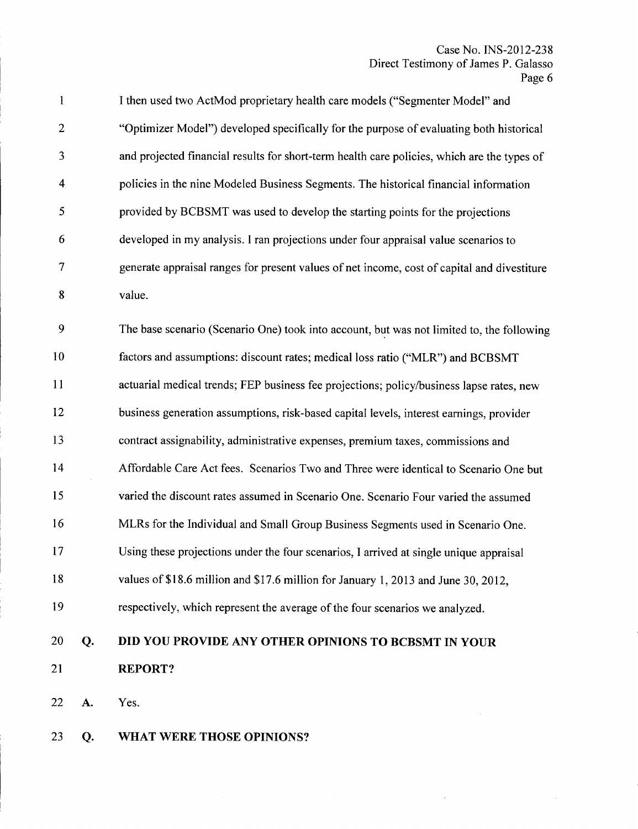$\sim 10$ 

| $\mathbf{1}$            |    | I then used two ActMod proprietary health care models ("Segmenter Model" and                |
|-------------------------|----|---------------------------------------------------------------------------------------------|
| $\mathbf{2}$            |    | "Optimizer Model") developed specifically for the purpose of evaluating both historical     |
| 3                       |    | and projected financial results for short-term health care policies, which are the types of |
| $\overline{\mathbf{4}}$ |    | policies in the nine Modeled Business Segments. The historical financial information        |
| 5                       |    | provided by BCBSMT was used to develop the starting points for the projections              |
| 6                       |    | developed in my analysis. I ran projections under four appraisal value scenarios to         |
| $\tau$                  |    | generate appraisal ranges for present values of net income, cost of capital and divestiture |
| 8                       |    | value.                                                                                      |
| 9                       |    | The base scenario (Scenario One) took into account, but was not limited to, the following   |
| 10                      |    | factors and assumptions: discount rates; medical loss ratio ("MLR") and BCBSMT              |
| 11                      |    | actuarial medical trends; FEP business fee projections; policy/business lapse rates, new    |
| 12                      |    | business generation assumptions, risk-based capital levels, interest earnings, provider     |
| 13                      |    | contract assignability, administrative expenses, premium taxes, commissions and             |
| 14                      |    | Affordable Care Act fees. Scenarios Two and Three were identical to Scenario One but        |
| 15                      |    | varied the discount rates assumed in Scenario One. Scenario Four varied the assumed         |
| 16                      |    | MLRs for the Individual and Small Group Business Segments used in Scenario One.             |
| 17                      |    | Using these projections under the four scenarios, I arrived at single unique appraisal      |
| 18                      |    | values of \$18.6 million and \$17.6 million for January 1, 2013 and June 30, 2012,          |
| 19                      |    | respectively, which represent the average of the four scenarios we analyzed.                |
| 20                      | Q. | DID YOU PROVIDE ANY OTHER OPINIONS TO BCBSMT IN YOUR                                        |
| 21                      |    | <b>REPORT?</b>                                                                              |
| 22                      | A. | Yes.                                                                                        |
| 23                      | Q. | WHAT WERE THOSE OPINIONS?                                                                   |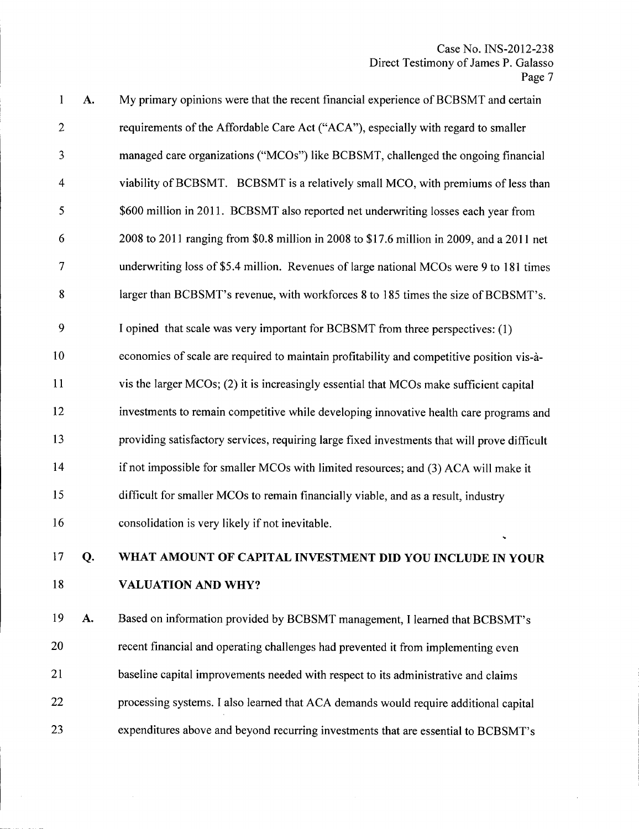$\bar{z}$ 

| $\mathbf{1}$   | A. | My primary opinions were that the recent financial experience of BCBSMT and certain          |
|----------------|----|----------------------------------------------------------------------------------------------|
| $\mathbf{2}$   |    | requirements of the Affordable Care Act ("ACA"), especially with regard to smaller           |
| 3              |    | managed care organizations ("MCOs") like BCBSMT, challenged the ongoing financial            |
| $\overline{4}$ |    | viability of BCBSMT. BCBSMT is a relatively small MCO, with premiums of less than            |
| 5              |    | \$600 million in 2011. BCBSMT also reported net underwriting losses each year from           |
| 6              |    | 2008 to 2011 ranging from \$0.8 million in 2008 to \$17.6 million in 2009, and a 2011 net    |
| 7              |    | underwriting loss of \$5.4 million. Revenues of large national MCOs were 9 to 181 times      |
| 8              |    | larger than BCBSMT's revenue, with workforces 8 to 185 times the size of BCBSMT's.           |
| 9              |    | I opined that scale was very important for BCBSMT from three perspectives: (1)               |
| 10             |    | economies of scale are required to maintain profitability and competitive position vis-à-    |
| 11             |    | vis the larger MCOs; (2) it is increasingly essential that MCOs make sufficient capital      |
| 12             |    | investments to remain competitive while developing innovative health care programs and       |
| 13             |    | providing satisfactory services, requiring large fixed investments that will prove difficult |
| 14             |    | if not impossible for smaller MCOs with limited resources; and (3) ACA will make it          |
| 15             |    | difficult for smaller MCOs to remain financially viable, and as a result, industry           |
| 16             |    | consolidation is very likely if not inevitable.                                              |
| 17             | Q. | WHAT AMOUNT OF CAPITAL INVESTMENT DID YOU INCLUDE IN YOUR                                    |
| 18             |    | <b>VALUATION AND WHY?</b>                                                                    |
| 19             | A. | Based on information provided by BCBSMT management, I learned that BCBSMT's                  |
| 20             |    | recent financial and operating challenges had prevented it from implementing even            |
| 21             |    | baseline capital improvements needed with respect to its administrative and claims           |

23 expenditures above and beyond recurring investments that are essential to BCBSMT's

processing systems. I also learned that ACA demands would require additional capital

22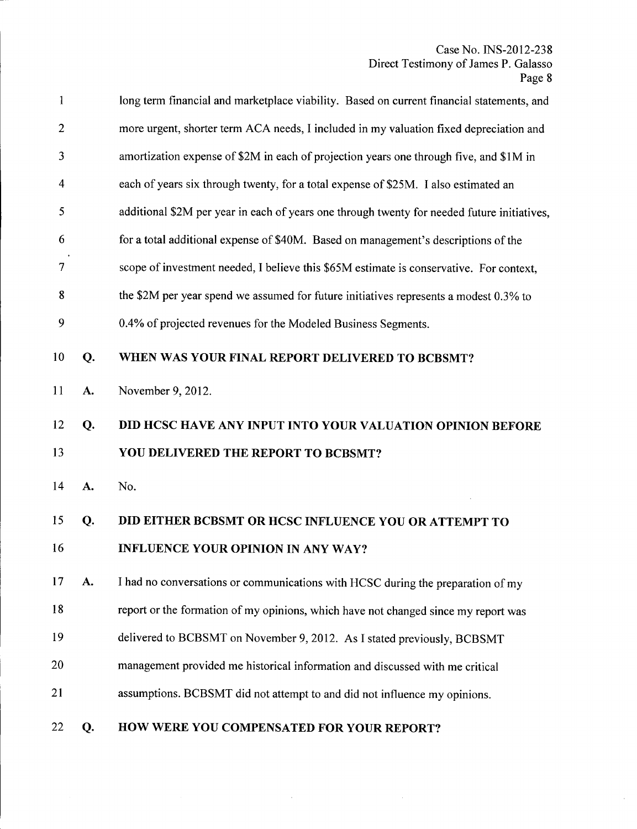$\sim$ 

| $\mathbf{1}$   |    | long term financial and marketplace viability. Based on current financial statements, and   |
|----------------|----|---------------------------------------------------------------------------------------------|
| $\overline{2}$ |    | more urgent, shorter term ACA needs, I included in my valuation fixed depreciation and      |
| 3              |    | amortization expense of \$2M in each of projection years one through five, and \$1M in      |
| 4              |    | each of years six through twenty, for a total expense of \$25M. I also estimated an         |
| 5              |    | additional \$2M per year in each of years one through twenty for needed future initiatives, |
| 6              |    | for a total additional expense of \$40M. Based on management's descriptions of the          |
| $\overline{7}$ |    | scope of investment needed, I believe this \$65M estimate is conservative. For context,     |
| 8              |    | the \$2M per year spend we assumed for future initiatives represents a modest 0.3% to       |
| 9              |    | 0.4% of projected revenues for the Modeled Business Segments.                               |
| 10             | Q. | WHEN WAS YOUR FINAL REPORT DELIVERED TO BCBSMT?                                             |
| 11             | A. | November 9, 2012.                                                                           |
| 12             | Q. | DID HCSC HAVE ANY INPUT INTO YOUR VALUATION OPINION BEFORE                                  |
| 13             |    | YOU DELIVERED THE REPORT TO BCBSMT?                                                         |
| 14             | A. | No.                                                                                         |
| 15             | Q. | DID EITHER BCBSMT OR HCSC INFLUENCE YOU OR ATTEMPT TO                                       |
| 16             |    | <b>INFLUENCE YOUR OPINION IN ANY WAY?</b>                                                   |
| 17             | A. | I had no conversations or communications with HCSC during the preparation of my             |
| 18             |    | report or the formation of my opinions, which have not changed since my report was          |
| 19             |    | delivered to BCBSMT on November 9, 2012. As I stated previously, BCBSMT                     |
| 20             |    | management provided me historical information and discussed with me critical                |
| 21             |    | assumptions. BCBSMT did not attempt to and did not influence my opinions.                   |
| 22             | Q. | HOW WERE YOU COMPENSATED FOR YOUR REPORT?                                                   |

 $\sim 10^{-10}$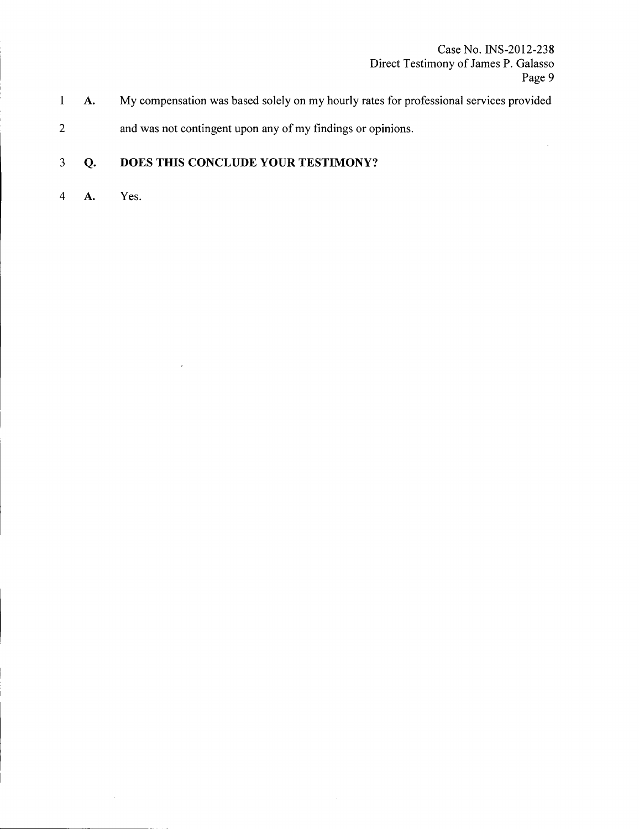- 1 **A.** My compensation was based solely on my hourly rates for professional services provided
- 2 and was not contingent upon any of my findings or opinions.

#### 3 **Q. DOES THIS CONCLUDE YOUR TESTIMONY?**

 $\ddot{\phantom{0}}$ 

4 **A.** Yes.

 $\bar{z}$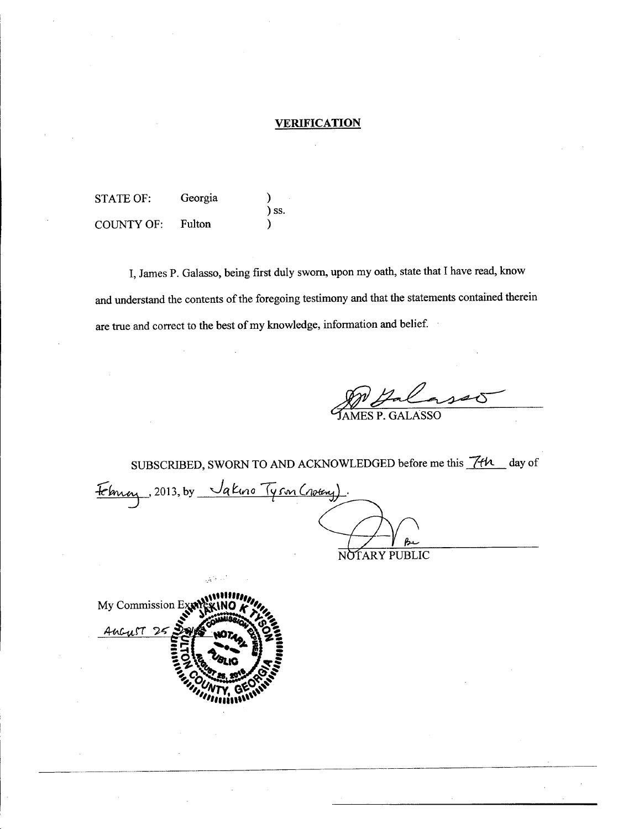#### **VERIFICATION**

STATE OF: Georgia ) ss. COUNTY OF: Fulton

I, James P. Galasso, being first duly sworn, upon my oath, state that I have read, know and understand the contents of the foregoing testimony and that the statements contained therein are true and correct to the best of my knowledge, information and belief.

MES P. GALASSO

SUBSCRIBED, SWORN TO AND ACKNOWLEDGED before me this *Tth* day of February, 2013, by Vakino Tyson (noting). NOTARY PUBLIC

My Commission Exp Ancrest

-- -\_ ---\_.\_\_.\_ \_ \_.\_--\_.\_----\_.------------